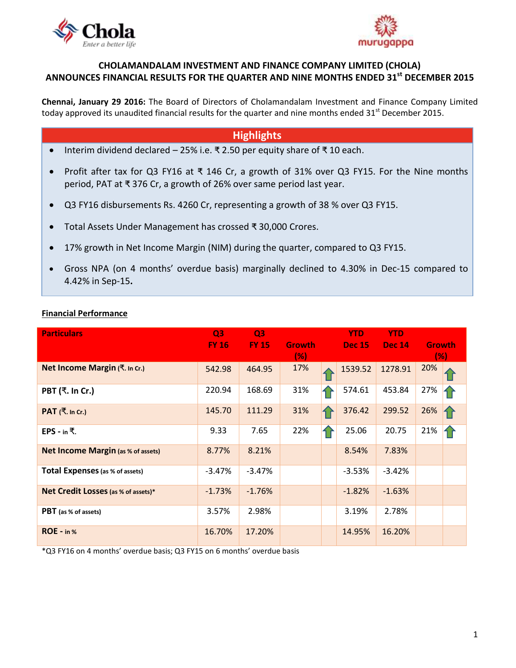



## **CHOLAMANDALAM INVESTMENT AND FINANCE COMPANY LIMITED (CHOLA) ANNOUNCES FINANCIAL RESULTS FOR THE QUARTER AND NINE MONTHS ENDED 31 st DECEMBER 2015**

**Chennai, January 29 2016:** The Board of Directors of [Cholamandalam Investment and Finance Company Limited](http://www.cholamandalam.com/) today approved its unaudited financial results for the quarter and nine months ended 31<sup>st</sup> December 2015.

# **Highlights**

- Interim dividend declared 25% i.e. ₹ 2.50 per equity share of ₹ 10 each.
- Profit after tax for Q3 FY16 at ₹ 146 Cr, a growth of 31% over Q3 FY15. For the Nine months period, PAT at ₹ 376 Cr, a growth of 26% over same period last year.
- Q3 FY16 disbursements Rs. 4260 Cr, representing a growth of 38 % over Q3 FY15.
- Total Assets Under Management has crossed ₹ 30,000 Crores.
- 17% growth in Net Income Margin (NIM) during the quarter, compared to Q3 FY15.
- Gross NPA (on 4 months' overdue basis) marginally declined to 4.30% in Dec-15 compared to 4.42% in Sep-15**.**

## **Financial Performance**

| <b>Particulars</b>                        | Q <sub>3</sub> | Q <sub>3</sub> |               | <b>YTD</b>    | <b>YTD</b>    |               |  |
|-------------------------------------------|----------------|----------------|---------------|---------------|---------------|---------------|--|
|                                           | <b>FY 16</b>   | <b>FY 15</b>   | <b>Growth</b> | <b>Dec 15</b> | <b>Dec 14</b> | <b>Growth</b> |  |
|                                           |                |                | (%)           |               |               | (% )          |  |
| Net Income Margin (₹. In Cr.)             | 542.98         | 464.95         | 17%           | 1539.52       | 1278.91       | 20%           |  |
| PBT (₹. In Cr.)                           | 220.94         | 168.69         | 31%           | 574.61        | 453.84        | 27%           |  |
| PAT (₹. In Cr.)                           | 145.70         | 111.29         | 31%           | 376.42        | 299.52        | 26%           |  |
| EPS - in ₹.                               | 9.33           | 7.65           | 22%           | 25.06         | 20.75         | 21%           |  |
| <b>Net Income Margin (as % of assets)</b> | 8.77%          | 8.21%          |               | 8.54%         | 7.83%         |               |  |
| Total Expenses (as % of assets)           | $-3.47%$       | $-3.47%$       |               | $-3.53%$      | $-3.42%$      |               |  |
| Net Credit Losses (as % of assets)*       | $-1.73%$       | $-1.76%$       |               | $-1.82%$      | $-1.63%$      |               |  |
| PBT (as % of assets)                      | 3.57%          | 2.98%          |               | 3.19%         | 2.78%         |               |  |
| ROE - in %                                | 16.70%         | 17.20%         |               | 14.95%        | 16.20%        |               |  |

\*Q3 FY16 on 4 months' overdue basis; Q3 FY15 on 6 months' overdue basis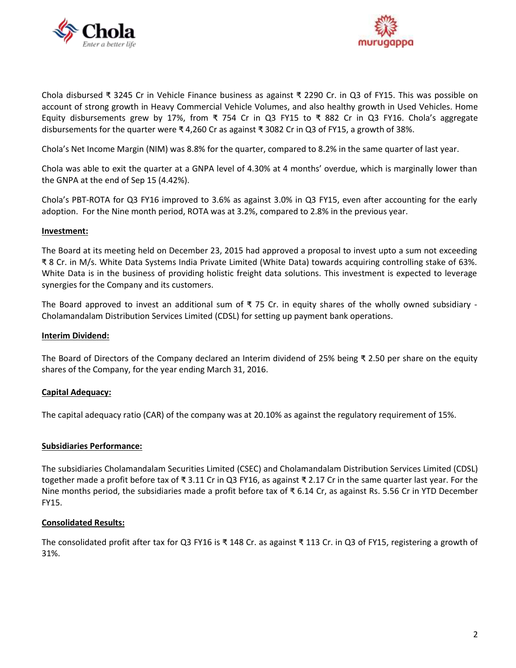



Chola disbursed ₹ 3245 Cr in Vehicle Finance business as against ₹ 2290 Cr. in Q3 of FY15. This was possible on account of strong growth in Heavy Commercial Vehicle Volumes, and also healthy growth in Used Vehicles. Home Equity disbursements grew by 17%, from ₹ 754 Cr in Q3 FY15 to ₹ 882 Cr in Q3 FY16. Chola's aggregate disbursements for the quarter were ₹ 4,260 Cr as against ₹ 3082 Cr in Q3 of FY15, a growth of 38%.

Chola's Net Income Margin (NIM) was 8.8% for the quarter, compared to 8.2% in the same quarter of last year.

Chola was able to exit the quarter at a GNPA level of 4.30% at 4 months' overdue, which is marginally lower than the GNPA at the end of Sep 15 (4.42%).

Chola's PBT-ROTA for Q3 FY16 improved to 3.6% as against 3.0% in Q3 FY15, even after accounting for the early adoption. For the Nine month period, ROTA was at 3.2%, compared to 2.8% in the previous year.

#### **Investment:**

The Board at its meeting held on December 23, 2015 had approved a proposal to invest upto a sum not exceeding ₹ 8 Cr. in M/s. White Data Systems India Private Limited (White Data) towards acquiring controlling stake of 63%. White Data is in the business of providing holistic freight data solutions. This investment is expected to leverage synergies for the Company and its customers.

The Board approved to invest an additional sum of  $\bar{\tau}$  75 Cr. in equity shares of the wholly owned subsidiary -Cholamandalam Distribution Services Limited (CDSL) for setting up payment bank operations.

#### **Interim Dividend:**

The Board of Directors of the Company declared an Interim dividend of 25% being ₹ 2.50 per share on the equity shares of the Company, for the year ending March 31, 2016.

## **Capital Adequacy:**

The capital adequacy ratio (CAR) of the company was at 20.10% as against the regulatory requirement of 15%.

## **Subsidiaries Performance:**

The subsidiaries [Cholamandalam Securities Limited](http://www.cholawealthdirect.com/) (CSEC) and [Cholamandalam Distribution Services Limited](http://www.cholawealthdirect.com/) (CDSL) together made a profit before tax of ₹ 3.11 Cr in Q3 FY16, as against ₹ 2.17 Cr in the same quarter last year. For the Nine months period, the subsidiaries made a profit before tax of ₹ 6.14 Cr, as against Rs. 5.56 Cr in YTD December FY15.

#### **Consolidated Results:**

The consolidated profit after tax for Q3 FY16 is ₹ 148 Cr. as against ₹ 113 Cr. in Q3 of FY15, registering a growth of 31%.